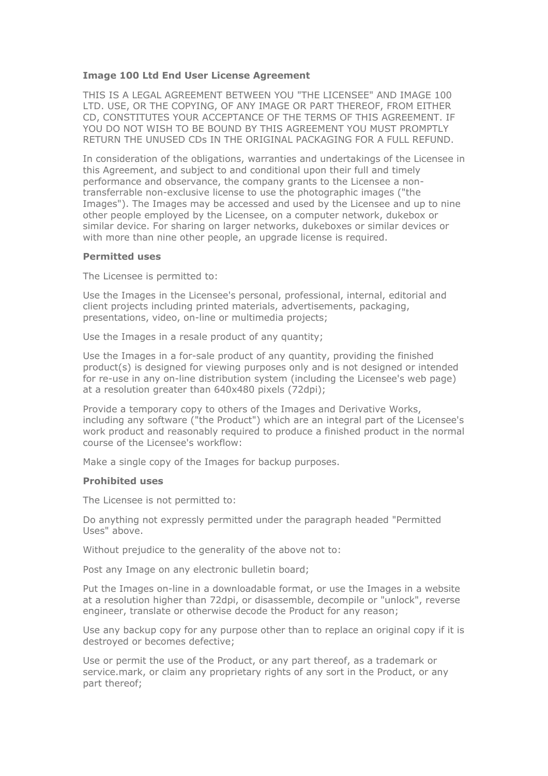#### **Image 100 Ltd End User License Agreement**

THIS IS A LEGAL AGREEMENT BETWEEN YOU "THE LICENSEE" AND IMAGE 100 LTD. USE, OR THE COPYING, OF ANY IMAGE OR PART THEREOF, FROM EITHER CD, CONSTITUTES YOUR ACCEPTANCE OF THE TERMS OF THIS AGREEMENT. IF YOU DO NOT WISH TO BE BOUND BY THIS AGREEMENT YOU MUST PROMPTLY RETURN THE UNUSED CDs IN THE ORIGINAL PACKAGING FOR A FULL REFUND.

In consideration of the obligations, warranties and undertakings of the Licensee in this Agreement, and subject to and conditional upon their full and timely performance and observance, the company grants to the Licensee a nontransferrable non-exclusive license to use the photographic images ("the Images"). The Images may be accessed and used by the Licensee and up to nine other people employed by the Licensee, on a computer network, dukebox or similar device. For sharing on larger networks, dukeboxes or similar devices or with more than nine other people, an upgrade license is required.

#### **Permitted uses**

The Licensee is permitted to:

Use the Images in the Licensee's personal, professional, internal, editorial and client projects including printed materials, advertisements, packaging, presentations, video, on-line or multimedia projects;

Use the Images in a resale product of any quantity;

Use the Images in a for-sale product of any quantity, providing the finished product(s) is designed for viewing purposes only and is not designed or intended for re-use in any on-line distribution system (including the Licensee's web page) at a resolution greater than 640x480 pixels (72dpi);

Provide a temporary copy to others of the Images and Derivative Works, including any software ("the Product") which are an integral part of the Licensee's work product and reasonably required to produce a finished product in the normal course of the Licensee's workflow:

Make a single copy of the Images for backup purposes.

#### **Prohibited uses**

The Licensee is not permitted to:

Do anything not expressly permitted under the paragraph headed "Permitted Uses" above.

Without prejudice to the generality of the above not to:

Post any Image on any electronic bulletin board;

Put the Images on-line in a downloadable format, or use the Images in a website at a resolution higher than 72dpi, or disassemble, decompile or "unlock", reverse engineer, translate or otherwise decode the Product for any reason;

Use any backup copy for any purpose other than to replace an original copy if it is destroyed or becomes defective;

Use or permit the use of the Product, or any part thereof, as a trademark or service.mark, or claim any proprietary rights of any sort in the Product, or any part thereof;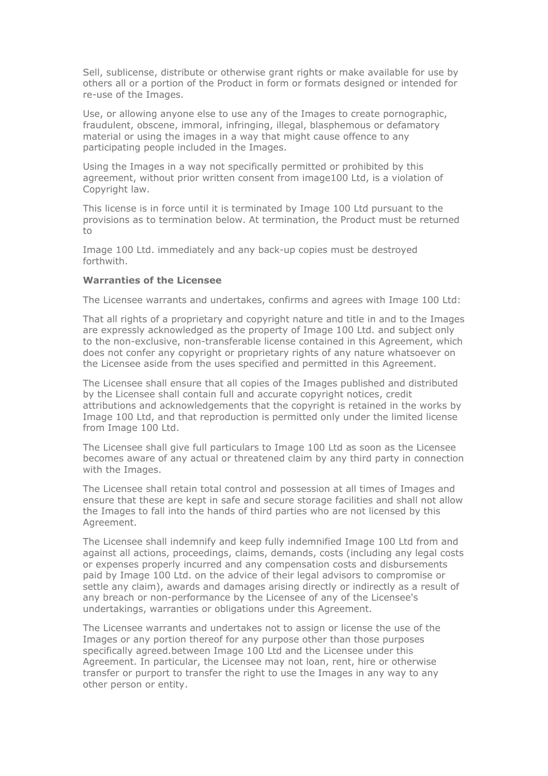Sell, sublicense, distribute or otherwise grant rights or make available for use by others all or a portion of the Product in form or formats designed or intended for re-use of the Images.

Use, or allowing anyone else to use any of the Images to create pornographic, fraudulent, obscene, immoral, infringing, illegal, blasphemous or defamatory material or using the images in a way that might cause offence to any participating people included in the Images.

Using the Images in a way not specifically permitted or prohibited by this agreement, without prior written consent from image100 Ltd, is a violation of Copyright law.

This license is in force until it is terminated by Image 100 Ltd pursuant to the provisions as to termination below. At termination, the Product must be returned to

Image 100 Ltd. immediately and any back-up copies must be destroyed forthwith.

# **Warranties of the Licensee**

The Licensee warrants and undertakes, confirms and agrees with Image 100 Ltd:

That all rights of a proprietary and copyright nature and title in and to the Images are expressly acknowledged as the property of Image 100 Ltd. and subject only to the non-exclusive, non-transferable license contained in this Agreement, which does not confer any copyright or proprietary rights of any nature whatsoever on the Licensee aside from the uses specified and permitted in this Agreement.

The Licensee shall ensure that all copies of the Images published and distributed by the Licensee shall contain full and accurate copyright notices, credit attributions and acknowledgements that the copyright is retained in the works by Image 100 Ltd, and that reproduction is permitted only under the limited license from Image 100 Ltd.

The Licensee shall give full particulars to Image 100 Ltd as soon as the Licensee becomes aware of any actual or threatened claim by any third party in connection with the Images.

The Licensee shall retain total control and possession at all times of Images and ensure that these are kept in safe and secure storage facilities and shall not allow the Images to fall into the hands of third parties who are not licensed by this Agreement.

The Licensee shall indemnify and keep fully indemnified Image 100 Ltd from and against all actions, proceedings, claims, demands, costs (including any legal costs or expenses properly incurred and any compensation costs and disbursements paid by Image 100 Ltd. on the advice of their legal advisors to compromise or settle any claim), awards and damages arising directly or indirectly as a result of any breach or non-performance by the Licensee of any of the Licensee's undertakings, warranties or obligations under this Agreement.

The Licensee warrants and undertakes not to assign or license the use of the Images or any portion thereof for any purpose other than those purposes specifically agreed.between Image 100 Ltd and the Licensee under this Agreement. In particular, the Licensee may not loan, rent, hire or otherwise transfer or purport to transfer the right to use the Images in any way to any other person or entity.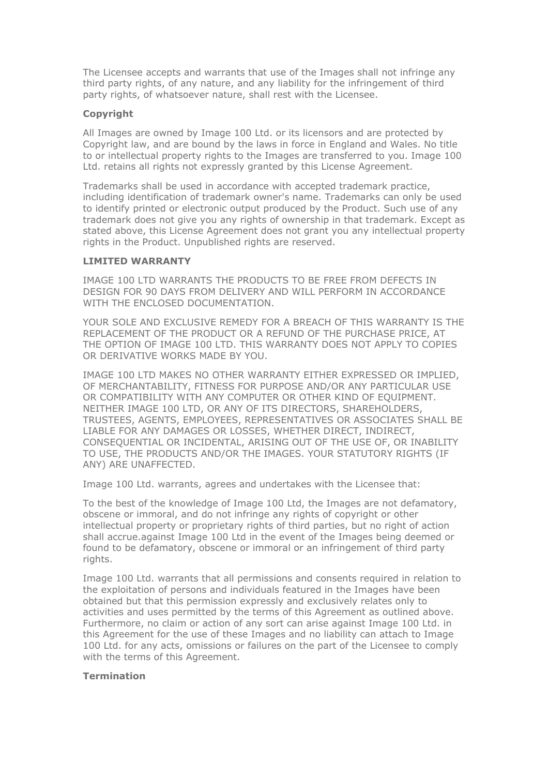The Licensee accepts and warrants that use of the Images shall not infringe any third party rights, of any nature, and any liability for the infringement of third party rights, of whatsoever nature, shall rest with the Licensee.

## **Copyright**

All Images are owned by Image 100 Ltd. or its licensors and are protected by Copyright law, and are bound by the laws in force in England and Wales. No title to or intellectual property rights to the Images are transferred to you. Image 100 Ltd. retains all rights not expressly granted by this License Agreement.

Trademarks shall be used in accordance with accepted trademark practice, including identification of trademark owner's name. Trademarks can only be used to identify printed or electronic output produced by the Product. Such use of any trademark does not give you any rights of ownership in that trademark. Except as stated above, this License Agreement does not grant you any intellectual property rights in the Product. Unpublished rights are reserved.

## **LIMITED WARRANTY**

IMAGE 100 LTD WARRANTS THE PRODUCTS TO BE FREE FROM DEFECTS IN DESIGN FOR 90 DAYS FROM DELIVERY AND WILL PERFORM IN ACCORDANCE WITH THE ENCLOSED DOCUMENTATION.

YOUR SOLE AND EXCLUSIVE REMEDY FOR A BREACH OF THIS WARRANTY IS THE REPLACEMENT OF THE PRODUCT OR A REFUND OF THE PURCHASE PRICE, AT THE OPTION OF IMAGE 100 LTD. THIS WARRANTY DOES NOT APPLY TO COPIES OR DERIVATIVE WORKS MADE BY YOU.

IMAGE 100 LTD MAKES NO OTHER WARRANTY EITHER EXPRESSED OR IMPLIED, OF MERCHANTABILITY, FITNESS FOR PURPOSE AND/OR ANY PARTICULAR USE OR COMPATIBILITY WITH ANY COMPUTER OR OTHER KIND OF EQUIPMENT. NEITHER IMAGE 100 LTD, OR ANY OF ITS DIRECTORS, SHAREHOLDERS, TRUSTEES, AGENTS, EMPLOYEES, REPRESENTATIVES OR ASSOCIATES SHALL BE LIABLE FOR ANY DAMAGES OR LOSSES, WHETHER DIRECT, INDIRECT, CONSEQUENTIAL OR INCIDENTAL, ARISING OUT OF THE USE OF, OR INABILITY TO USE, THE PRODUCTS AND/OR THE IMAGES. YOUR STATUTORY RIGHTS (IF ANY) ARE UNAFFECTED.

Image 100 Ltd. warrants, agrees and undertakes with the Licensee that:

To the best of the knowledge of Image 100 Ltd, the Images are not defamatory, obscene or immoral, and do not infringe any rights of copyright or other intellectual property or proprietary rights of third parties, but no right of action shall accrue.against Image 100 Ltd in the event of the Images being deemed or found to be defamatory, obscene or immoral or an infringement of third party rights.

Image 100 Ltd. warrants that all permissions and consents required in relation to the exploitation of persons and individuals featured in the Images have been obtained but that this permission expressly and exclusively relates only to activities and uses permitted by the terms of this Agreement as outlined above. Furthermore, no claim or action of any sort can arise against Image 100 Ltd. in this Agreement for the use of these Images and no liability can attach to Image 100 Ltd. for any acts, omissions or failures on the part of the Licensee to comply with the terms of this Agreement.

#### **Termination**